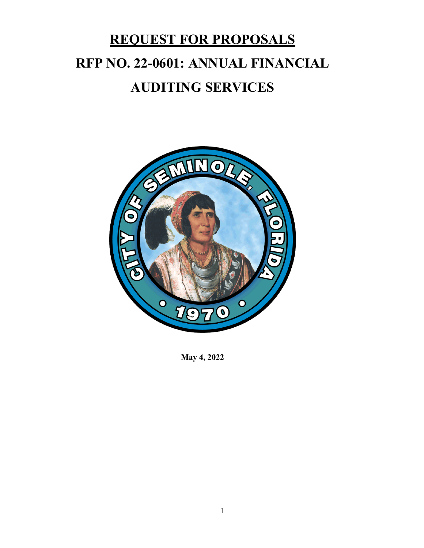# **RFP NO. 22-0601: ANNUAL FINANCIAL REQUEST FOR PROPOSALS AUDITING SERVICES**



**May 4, 2022**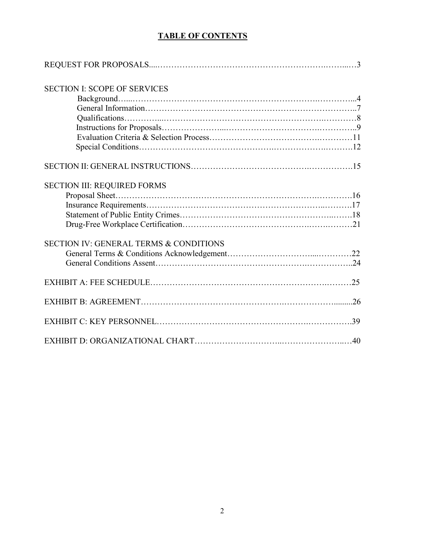# **TABLE OF CONTENTS**

| <b>SECTION I: SCOPE OF SERVICES</b>               |  |
|---------------------------------------------------|--|
|                                                   |  |
|                                                   |  |
|                                                   |  |
|                                                   |  |
|                                                   |  |
|                                                   |  |
|                                                   |  |
| <b>SECTION III: REQUIRED FORMS</b>                |  |
|                                                   |  |
|                                                   |  |
|                                                   |  |
|                                                   |  |
| <b>SECTION IV: GENERAL TERMS &amp; CONDITIONS</b> |  |
|                                                   |  |
|                                                   |  |
|                                                   |  |
|                                                   |  |
|                                                   |  |
|                                                   |  |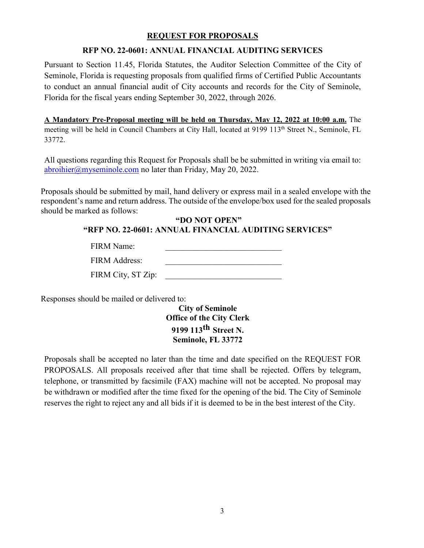## **REQUEST FOR PROPOSALS**

#### **RFP NO. 22-0601: ANNUAL FINANCIAL AUDITING SERVICES**

 to conduct an annual financial audit of City accounts and records for the City of Seminole, Pursuant to Section 11.45, Florida Statutes, the Auditor Selection Committee of the City of Seminole, Florida is requesting proposals from qualified firms of Certified Public Accountants Florida for the fiscal years ending September 30, 2022, through 2026.

**A Mandatory Pre-Proposal meeting will be held on Thursday, May 12, 2022 at 10:00 a.m.** The meeting will be held in Council Chambers at City Hall, located at 9199 113<sup>th</sup> Street N., Seminole, FL 33772.

 All questions regarding this Request for Proposals shall be be submitted in writing via email to: [abroihier@myseminole.com](mailto:abroihier@myseminole.com) no later than Friday, May 20, 2022.

 should be marked as follows: Proposals should be submitted by mail, hand delivery or express mail in a sealed envelope with the respondent's name and return address. The outside of the envelope/box used for the sealed proposals

#### **"DO NOT OPEN" "RFP NO. 22-0601: ANNUAL FINANCIAL AUDITING SERVICES"**

| <b>FIRM Name:</b>  |  |
|--------------------|--|
| FIRM Address:      |  |
| FIRM City, ST Zip: |  |

Responses should be mailed or delivered to:

 **City of Seminole Seminole, FL 33772 Office of the City Clerk 9199 113th Street N.** 

 be withdrawn or modified after the time fixed for the opening of the bid. The City of Seminole Proposals shall be accepted no later than the time and date specified on the REQUEST FOR PROPOSALS. All proposals received after that time shall be rejected. Offers by telegram, telephone, or transmitted by facsimile (FAX) machine will not be accepted. No proposal may reserves the right to reject any and all bids if it is deemed to be in the best interest of the City.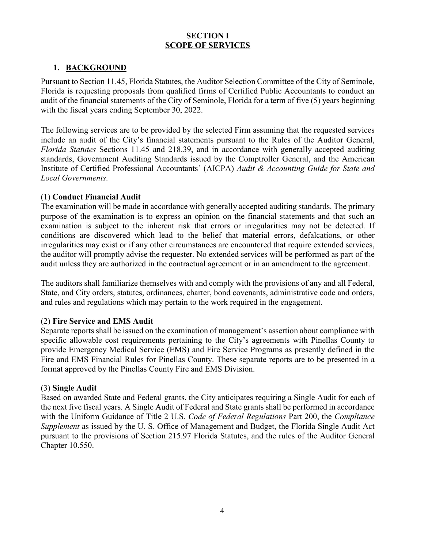## **SECTION I SCOPE OF SERVICES**

## 1. **BACKGROUND**

Pursuant to Section 11.45, Florida Statutes, the Auditor Selection Committee of the City of Seminole, Florida is requesting proposals from qualified firms of Certified Public Accountants to conduct an audit of the financial statements of the City of Seminole, Florida for a term of five (5) years beginning with the fiscal years ending September 30, 2022.

 standards, Government Auditing Standards issued by the Comptroller General, and the American The following services are to be provided by the selected Firm assuming that the requested services include an audit of the City's financial statements pursuant to the Rules of the Auditor General, *Florida Statutes* Sections 11.45 and 218.39, and in accordance with generally accepted auditing Institute of Certified Professional Accountants' (AICPA) *Audit & Accounting Guide for State and Local Governments*.

#### (1) **Conduct Financial Audit**

 audit unless they are authorized in the contractual agreement or in an amendment to the agreement. The examination will be made in accordance with generally accepted auditing standards. The primary purpose of the examination is to express an opinion on the financial statements and that such an examination is subject to the inherent risk that errors or irregularities may not be detected. If conditions are discovered which lead to the belief that material errors, defalcations, or other irregularities may exist or if any other circumstances are encountered that require extended services, the auditor will promptly advise the requester. No extended services will be performed as part of the

The auditors shall familiarize themselves with and comply with the provisions of any and all Federal, State, and City orders, statutes, ordinances, charter, bond covenants, administrative code and orders, and rules and regulations which may pertain to the work required in the engagement.

#### (2) **Fire Service and EMS Audit**

 specific allowable cost requirements pertaining to the City's agreements with Pinellas County to provide Emergency Medical Service (EMS) and Fire Service Programs as presently defined in the Separate reports shall be issued on the examination of management's assertion about compliance with Fire and EMS Financial Rules for Pinellas County. These separate reports are to be presented in a format approved by the Pinellas County Fire and EMS Division.

#### (3) **Single Audit**

 Based on awarded State and Federal grants, the City anticipates requiring a Single Audit for each of the next five fiscal years. A Single Audit of Federal and State grants shall be performed in accordance with the Uniform Guidance of Title 2 U.S. *Code of Federal Regulations* Part 200, the *Compliance Supplement* as issued by the U. S. Office of Management and Budget, the Florida Single Audit Act pursuant to the provisions of Section 215.97 Florida Statutes, and the rules of the Auditor General Chapter 10.550.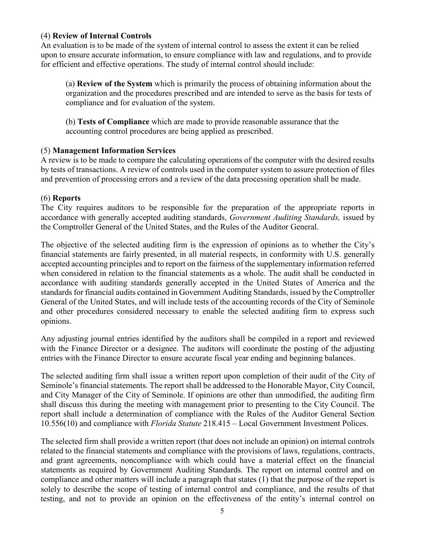#### (4) **Review of Internal Controls**

An evaluation is to be made of the system of internal control to assess the extent it can be relied upon to ensure accurate information, to ensure compliance with law and regulations, and to provide for efficient and effective operations. The study of internal control should include:

 organization and the procedures prescribed and are intended to serve as the basis for tests of (a) **Review of the System** which is primarily the process of obtaining information about the compliance and for evaluation of the system.

(b) **Tests of Compliance** which are made to provide reasonable assurance that the accounting control procedures are being applied as prescribed.

## (5) **Management Information Services**

A review is to be made to compare the calculating operations of the computer with the desired results by tests of transactions. A review of controls used in the computer system to assure protection of files and prevention of processing errors and a review of the data processing operation shall be made.

# (6) **Reports**

 the Comptroller General of the United States, and the Rules of the Auditor General. The City requires auditors to be responsible for the preparation of the appropriate reports in accordance with generally accepted auditing standards, *Government Auditing Standards,* issued by

 when considered in relation to the financial statements as a whole. The audit shall be conducted in General of the United States, and will include tests of the accounting records of the City of Seminole The objective of the selected auditing firm is the expression of opinions as to whether the City's financial statements are fairly presented, in all material respects, in conformity with U.S. generally accepted accounting principles and to report on the fairness of the supplementary information referred accordance with auditing standards generally accepted in the United States of America and the standards for financial audits contained in Government Auditing Standards, issued by the Comptroller and other procedures considered necessary to enable the selected auditing firm to express such opinions.

Any adjusting journal entries identified by the auditors shall be compiled in a report and reviewed with the Finance Director or a designee. The auditors will coordinate the posting of the adjusting entries with the Finance Director to ensure accurate fiscal year ending and beginning balances.

 10.556(10) and compliance with *Florida Statute* 218.415 – Local Government Investment Polices. The selected auditing firm shall issue a written report upon completion of their audit of the City of Seminole's financial statements. The report shall be addressed to the Honorable Mayor, City Council, and City Manager of the City of Seminole. If opinions are other than unmodified, the auditing firm shall discuss this during the meeting with management prior to presenting to the City Council. The report shall include a determination of compliance with the Rules of the Auditor General Section

 The selected firm shall provide a written report (that does not include an opinion) on internal controls related to the financial statements and compliance with the provisions of laws, regulations, contracts, and grant agreements, noncompliance with which could have a material effect on the financial statements as required by Government Auditing Standards. The report on internal control and on compliance and other matters will include a paragraph that states (1) that the purpose of the report is solely to describe the scope of testing of internal control and compliance, and the results of that testing, and not to provide an opinion on the effectiveness of the entity's internal control on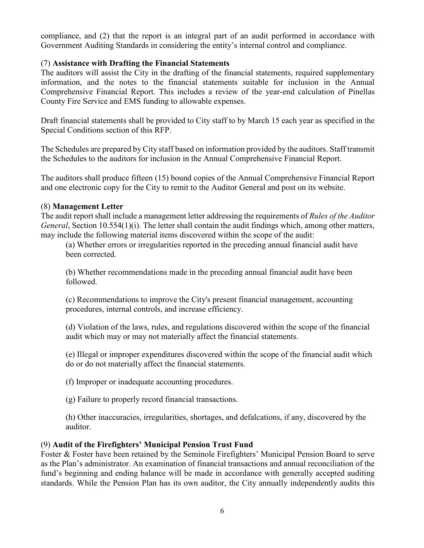compliance, and (2) that the report is an integral part of an audit performed in accordance with Government Auditing Standards in considering the entity's internal control and compliance.

## (7) **Assistance with Drafting the Financial Statements**

The auditors will assist the City in the drafting of the financial statements, required supplementary information, and the notes to the financial statements suitable for inclusion in the Annual Comprehensive Financial Report. This includes a review of the year-end calculation of Pinellas County Fire Service and EMS funding to allowable expenses.

 Draft financial statements shall be provided to City staff to by March 15 each year as specified in the Special Conditions section of this RFP.

The Schedules are prepared by City staff based on information provided by the auditors. Staff transmit the Schedules to the auditors for inclusion in the Annual Comprehensive Financial Report.

 The auditors shall produce fifteen (15) bound copies of the Annual Comprehensive Financial Report and one electronic copy for the City to remit to the Auditor General and post on its website.

#### (8) **Management Letter**

The audit report shall include a management letter addressing the requirements of *Rules of the Auditor General*, Section 10.554(1)(i). The letter shall contain the audit findings which, among other matters, may include the following material items discovered within the scope of the audit:

(a) Whether errors or irregularities reported in the preceding annual financial audit have been corrected.

(b) Whether recommendations made in the preceding annual financial audit have been followed.

(c) Recommendations to improve the City's present financial management, accounting procedures, internal controls, and increase efficiency.

(d) Violation of the laws, rules, and regulations discovered within the scope of the financial audit which may or may not materially affect the financial statements.

(e) Illegal or improper expenditures discovered within the scope of the financial audit which do or do not materially affect the financial statements.

(f) Improper or inadequate accounting procedures.

(g) Failure to properly record financial transactions.

(h) Other inaccuracies, irregularities, shortages, and defalcations, if any, discovered by the auditor.

#### (9) **Audit of the Firefighters' Municipal Pension Trust Fund**

 Foster & Foster have been retained by the Seminole Firefighters' Municipal Pension Board to serve standards. While the Pension Plan has its own auditor, the City annually independently audits this as the Plan's administrator. An examination of financial transactions and annual reconciliation of the fund's beginning and ending balance will be made in accordance with generally accepted auditing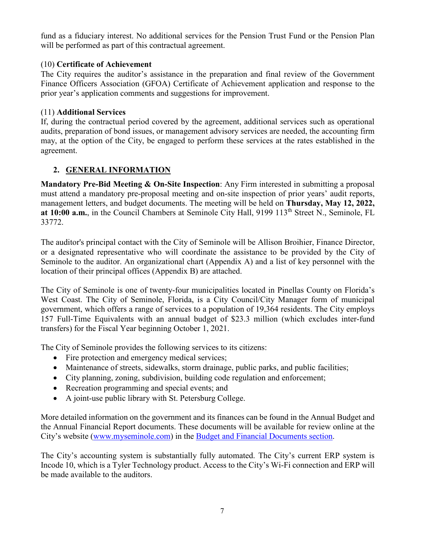fund as a fiduciary interest. No additional services for the Pension Trust Fund or the Pension Plan will be performed as part of this contractual agreement.

# (10) **Certificate of Achievement**

The City requires the auditor's assistance in the preparation and final review of the Government Finance Officers Association (GFOA) Certificate of Achievement application and response to the prior year's application comments and suggestions for improvement.

## (11) **Additional Services**

If, during the contractual period covered by the agreement, additional services such as operational audits, preparation of bond issues, or management advisory services are needed, the accounting firm may, at the option of the City, be engaged to perform these services at the rates established in the agreement.

# **2. GENERAL INFORMATION**

**Mandatory Pre-Bid Meeting & On-Site Inspection**: Any Firm interested in submitting a proposal must attend a mandatory pre-proposal meeting and on-site inspection of prior years' audit reports, management letters, and budget documents. The meeting will be held on **Thursday, May 12, 2022,**  at 10:00 a.m., in the Council Chambers at Seminole City Hall, 9199 113<sup>th</sup> Street N., Seminole, FL 33772.

 The auditor's principal contact with the City of Seminole will be Allison Broihier, Finance Director, or a designated representative who will coordinate the assistance to be provided by the City of Seminole to the auditor. An organizational chart (Appendix A) and a list of key personnel with the location of their principal offices (Appendix B) are attached.

The City of Seminole is one of twenty-four municipalities located in Pinellas County on Florida's West Coast. The City of Seminole, Florida, is a City Council/City Manager form of municipal government, which offers a range of services to a population of 19,364 residents. The City employs 157 Full-Time Equivalents with an annual budget of \$23.3 million (which excludes inter-fund transfers) for the Fiscal Year beginning October 1, 2021.

The City of Seminole provides the following services to its citizens:

- Fire protection and emergency medical services;
- Maintenance of streets, sidewalks, storm drainage, public parks, and public facilities;
- City planning, zoning, subdivision, building code regulation and enforcement;
- Recreation programming and special events; and
- A joint-use public library with St. Petersburg College.

More detailed information on the government and its finances can be found in the Annual Budget and the Annual Financial Report documents. These documents will be available for review online at the City's website [\(www.myseminole.com\)](http://www.myseminole.com/) in the [Budget and Financial Documents section.](https://www.myseminole.com/website/budget-and-financial-documents.html#gsc.tab=0)

The City's accounting system is substantially fully automated. The City's current ERP system is Incode 10, which is a Tyler Technology product. Access to the City's Wi-Fi connection and ERP will be made available to the auditors.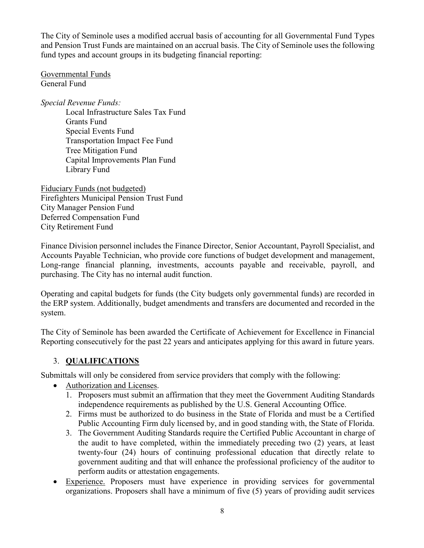The City of Seminole uses a modified accrual basis of accounting for all Governmental Fund Types and Pension Trust Funds are maintained on an accrual basis. The City of Seminole uses the following fund types and account groups in its budgeting financial reporting:

Governmental Funds General Fund

*Special Revenue Funds:*  Local Infrastructure Sales Tax Fund Grants Fund Special Events Fund Transportation Impact Fee Fund Tree Mitigation Fund Capital Improvements Plan Fund Library Fund

Fiduciary Funds (not budgeted) Firefighters Municipal Pension Trust Fund City Manager Pension Fund Deferred Compensation Fund City Retirement Fund

Finance Division personnel includes the Finance Director, Senior Accountant, Payroll Specialist, and Accounts Payable Technician, who provide core functions of budget development and management, Long-range financial planning, investments, accounts payable and receivable, payroll, and purchasing. The City has no internal audit function.

Operating and capital budgets for funds (the City budgets only governmental funds) are recorded in the ERP system. Additionally, budget amendments and transfers are documented and recorded in the system.

The City of Seminole has been awarded the Certificate of Achievement for Excellence in Financial Reporting consecutively for the past 22 years and anticipates applying for this award in future years.

# 3. **QUALIFICATIONS**

Submittals will only be considered from service providers that comply with the following:

- Authorization and Licenses.
	- 1. Proposers must submit an affirmation that they meet the Government Auditing Standards independence requirements as published by the U.S. General Accounting Office.
	- 2. Firms must be authorized to do business in the State of Florida and must be a Certified Public Accounting Firm duly licensed by, and in good standing with, the State of Florida.
	- 3. The Government Auditing Standards require the Certified Public Accountant in charge of the audit to have completed, within the immediately preceding two (2) years, at least twenty-four (24) hours of continuing professional education that directly relate to government auditing and that will enhance the professional proficiency of the auditor to perform audits or attestation engagements.
- Experience. Proposers must have experience in providing services for governmental organizations. Proposers shall have a minimum of five (5) years of providing audit services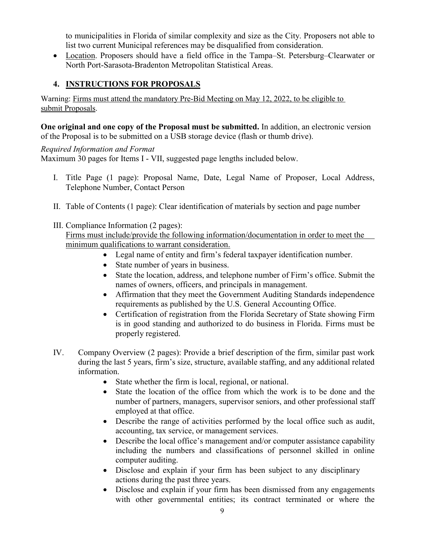to municipalities in Florida of similar complexity and size as the City. Proposers not able to list two current Municipal references may be disqualified from consideration.

• Location. Proposers should have a field office in the Tampa–St. Petersburg–Clearwater or North Port-Sarasota-Bradenton Metropolitan Statistical Areas.

# **4. INSTRUCTIONS FOR PROPOSALS**

Warning: Firms must attend the mandatory Pre-Bid Meeting on May 12, 2022, to be eligible to submit Proposals.

**One original and one copy of the Proposal must be submitted.** In addition, an electronic version of the Proposal is to be submitted on a USB storage device (flash or thumb drive).

# *Required Information and Format*

Maximum 30 pages for Items I - VII, suggested page lengths included below.

- I. Title Page (1 page): Proposal Name, Date, Legal Name of Proposer, Local Address, Telephone Number, Contact Person
- II. Table of Contents (1 page): Clear identification of materials by section and page number

# III. Compliance Information (2 pages): Firms must include/provide the following information/documentation in order to meet the minimum qualifications to warrant consideration.

- Legal name of entity and firm's federal taxpayer identification number.
- State number of years in business.
- State the location, address, and telephone number of Firm's office. Submit the names of owners, officers, and principals in management.
- Affirmation that they meet the Government Auditing Standards independence requirements as published by the U.S. General Accounting Office.
- Certification of registration from the Florida Secretary of State showing Firm is in good standing and authorized to do business in Florida. Firms must be properly registered.
- IV. Company Overview (2 pages): Provide a brief description of the firm, similar past work during the last 5 years, firm's size, structure, available staffing, and any additional related information.
	- State whether the firm is local, regional, or national.
	- State the location of the office from which the work is to be done and the number of partners, managers, supervisor seniors, and other professional staff employed at that office.
	- Describe the range of activities performed by the local office such as audit, accounting, tax service, or management services.
	- Describe the local office's management and/or computer assistance capability including the numbers and classifications of personnel skilled in online computer auditing.
	- Disclose and explain if your firm has been subject to any disciplinary actions during the past three years.
	- Disclose and explain if your firm has been dismissed from any engagements with other governmental entities; its contract terminated or where the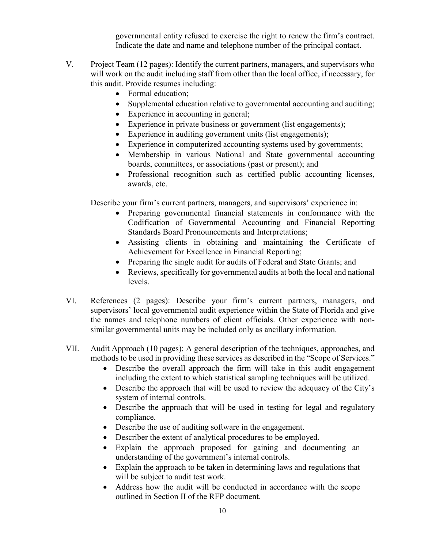Indicate the date and name and telephone number of the principal contact. governmental entity refused to exercise the right to renew the firm's contract.

- V. Project Team (12 pages): Identify the current partners, managers, and supervisors who will work on the audit including staff from other than the local office, if necessary, for this audit. Provide resumes including:
	- Formal education;
	- Supplemental education relative to governmental accounting and auditing;
	- Experience in accounting in general;
	- Experience in private business or government (list engagements);
	- Experience in auditing government units (list engagements);
	- Experience in computerized accounting systems used by governments;
	- Membership in various National and State governmental accounting boards, committees, or associations (past or present); and
	- Professional recognition such as certified public accounting licenses, awards, etc.

Describe your firm's current partners, managers, and supervisors' experience in:

- Preparing governmental financial statements in conformance with the Codification of Governmental Accounting and Financial Reporting Standards Board Pronouncements and Interpretations;
- Assisting clients in obtaining and maintaining the Certificate of Achievement for Excellence in Financial Reporting;
- Preparing the single audit for audits of Federal and State Grants; and
- • Reviews, specifically for governmental audits at both the local and national levels.
- VI. References (2 pages): Describe your firm's current partners, managers, and supervisors' local governmental audit experience within the State of Florida and give the names and telephone numbers of client officials. Other experience with nonsimilar governmental units may be included only as ancillary information.
- VII. Audit Approach (10 pages): A general description of the techniques, approaches, and methods to be used in providing these services as described in the "Scope of Services."
	- Describe the overall approach the firm will take in this audit engagement including the extent to which statistical sampling techniques will be utilized.
	- Describe the approach that will be used to review the adequacy of the City's system of internal controls.
	- Describe the approach that will be used in testing for legal and regulatory compliance.
	- Describe the use of auditing software in the engagement.
	- Describer the extent of analytical procedures to be employed.
	- Explain the approach proposed for gaining and documenting an understanding of the government's internal controls.
	- Explain the approach to be taken in determining laws and regulations that will be subject to audit test work.
	- Address how the audit will be conducted in accordance with the scope outlined in Section II of the RFP document.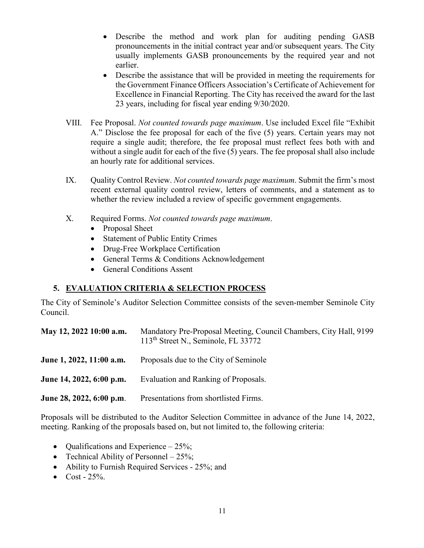- pronouncements in the initial contract year and/or subsequent years. The City usually implements GASB pronouncements by the required year and not • Describe the method and work plan for auditing pending GASB earlier.
- Describe the assistance that will be provided in meeting the requirements for the Government Finance Officers Association's Certificate of Achievement for Excellence in Financial Reporting. The City has received the award for the last 23 years, including for fiscal year ending 9/30/2020.
- VIII. Fee Proposal. *Not counted towards page maximum*. Use included Excel file "Exhibit without a single audit for each of the five (5) years. The fee proposal shall also include an hourly rate for additional services. A." Disclose the fee proposal for each of the five (5) years. Certain years may not require a single audit; therefore, the fee proposal must reflect fees both with and
- whether the review included a review of specific government engagements.<br>X. Required Forms. *Not counted towards page maximum*. IX. Quality Control Review. *Not counted towards page maximum*. Submit the firm's most recent external quality control review, letters of comments, and a statement as to
- - Proposal Sheet
	- Statement of Public Entity Crimes
	- Drug-Free Workplace Certification
	- General Terms & Conditions Acknowledgement
	- General Conditions Assent

# **5. EVALUATION CRITERIA & SELECTION PROCESS**

The City of Seminole's Auditor Selection Committee consists of the seven-member Seminole City Council.

| May 12, 2022 10:00 a.m.  | Mandatory Pre-Proposal Meeting, Council Chambers, City Hall, 9199<br>113 <sup>th</sup> Street N., Seminole, FL 33772 |
|--------------------------|----------------------------------------------------------------------------------------------------------------------|
| June 1, 2022, 11:00 a.m. | Proposals due to the City of Seminole                                                                                |
| June 14, 2022, 6:00 p.m. | Evaluation and Ranking of Proposals.                                                                                 |
| June 28, 2022, 6:00 p.m. | Presentations from shortlisted Firms.                                                                                |

 meeting. Ranking of the proposals based on, but not limited to, the following criteria: Proposals will be distributed to the Auditor Selection Committee in advance of the June 14, 2022,

- Qualifications and Experience 25%;
- Technical Ability of Personnel 25%;
- Ability to Furnish Required Services 25%; and
- $Cost 25\%$ .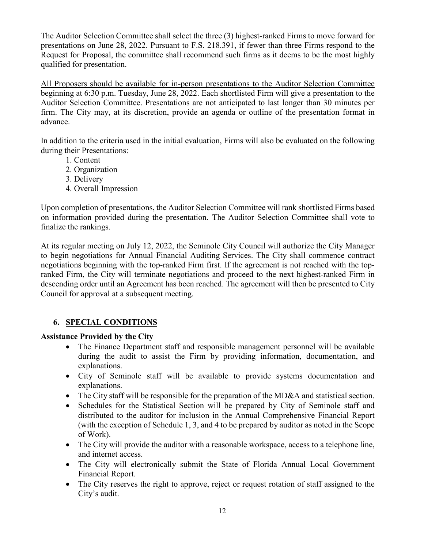The Auditor Selection Committee shall select the three (3) highest-ranked Firms to move forward for presentations on June 28, 2022. Pursuant to F.S. 218.391, if fewer than three Firms respond to the Request for Proposal, the committee shall recommend such firms as it deems to be the most highly qualified for presentation.

 beginning at 6:30 p.m. Tuesday, June 28, 2022. Each shortlisted Firm will give a presentation to the firm. The City may, at its discretion, provide an agenda or outline of the presentation format in All Proposers should be available for in-person presentations to the Auditor Selection Committee Auditor Selection Committee. Presentations are not anticipated to last longer than 30 minutes per advance.

 In addition to the criteria used in the initial evaluation, Firms will also be evaluated on the following during their Presentations: 1. Content

- 
- 2. Organization
- 3. Delivery
- 4. Overall Impression

Upon completion of presentations, the Auditor Selection Committee will rank shortlisted Firms based on information provided during the presentation. The Auditor Selection Committee shall vote to finalize the rankings.

At its regular meeting on July 12, 2022, the Seminole City Council will authorize the City Manager to begin negotiations for Annual Financial Auditing Services. The City shall commence contract negotiations beginning with the top-ranked Firm first. If the agreement is not reached with the topranked Firm, the City will terminate negotiations and proceed to the next highest-ranked Firm in descending order until an Agreement has been reached. The agreement will then be presented to City Council for approval at a subsequent meeting.

# **6. SPECIAL CONDITIONS**

## **Assistance Provided by the City**

- The Finance Department staff and responsible management personnel will be available during the audit to assist the Firm by providing information, documentation, and explanations.
- City of Seminole staff will be available to provide systems documentation and explanations.
- The City staff will be responsible for the preparation of the MD&A and statistical section.
- Schedules for the Statistical Section will be prepared by City of Seminole staff and distributed to the auditor for inclusion in the Annual Comprehensive Financial Report (with the exception of Schedule 1, 3, and 4 to be prepared by auditor as noted in the Scope of Work).
- The City will provide the auditor with a reasonable workspace, access to a telephone line, and internet access.
- The City will electronically submit the State of Florida Annual Local Government Financial Report.
- The City reserves the right to approve, reject or request rotation of staff assigned to the City's audit.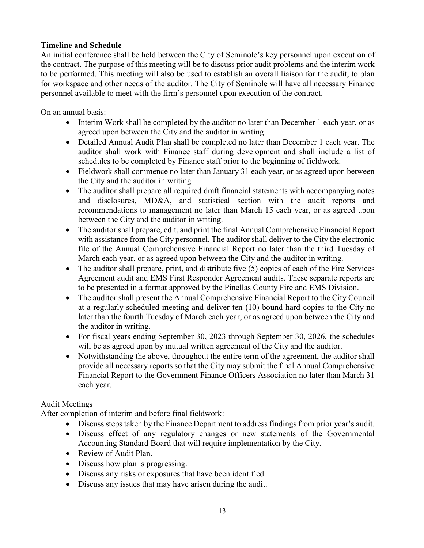## **Timeline and Schedule**

An initial conference shall be held between the City of Seminole's key personnel upon execution of the contract. The purpose of this meeting will be to discuss prior audit problems and the interim work to be performed. This meeting will also be used to establish an overall liaison for the audit, to plan for workspace and other needs of the auditor. The City of Seminole will have all necessary Finance personnel available to meet with the firm's personnel upon execution of the contract.

On an annual basis:

- • Interim Work shall be completed by the auditor no later than December 1 each year, or as agreed upon between the City and the auditor in writing.
- • Detailed Annual Audit Plan shall be completed no later than December 1 each year. The schedules to be completed by Finance staff prior to the beginning of fieldwork. auditor shall work with Finance staff during development and shall include a list of
- • Fieldwork shall commence no later than January 31 each year, or as agreed upon between the City and the auditor in writing
- The auditor shall prepare all required draft financial statements with accompanying notes and disclosures, MD&A, and statistical section with the audit reports and recommendations to management no later than March 15 each year, or as agreed upon between the City and the auditor in writing.
- with assistance from the City personnel. The auditor shall deliver to the City the electronic March each year, or as agreed upon between the City and the auditor in writing. • The auditor shall prepare, edit, and print the final Annual Comprehensive Financial Report file of the Annual Comprehensive Financial Report no later than the third Tuesday of
- • The auditor shall prepare, print, and distribute five (5) copies of each of the Fire Services Agreement audit and EMS First Responder Agreement audits. These separate reports are to be presented in a format approved by the Pinellas County Fire and EMS Division.
- later than the fourth Tuesday of March each year, or as agreed upon between the City and • The auditor shall present the Annual Comprehensive Financial Report to the City Council at a regularly scheduled meeting and deliver ten (10) bound hard copies to the City no the auditor in writing.
- • For fiscal years ending September 30, 2023 through September 30, 2026, the schedules will be as agreed upon by mutual written agreement of the City and the auditor.
- • Notwithstanding the above, throughout the entire term of the agreement, the auditor shall provide all necessary reports so that the City may submit the final Annual Comprehensive Financial Report to the Government Finance Officers Association no later than March 31 each year.

# Audit Meetings

After completion of interim and before final fieldwork:

- Discuss steps taken by the Finance Department to address findings from prior year's audit.
- • Discuss effect of any regulatory changes or new statements of the Governmental Accounting Standard Board that will require implementation by the City.
- Review of Audit Plan.
- Discuss how plan is progressing.
- Discuss any risks or exposures that have been identified.
- Discuss any issues that may have arisen during the audit.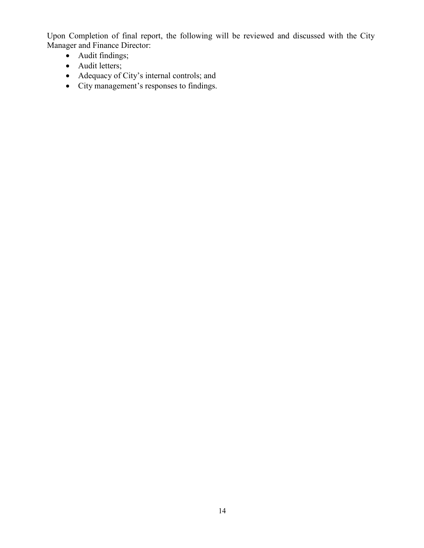Upon Completion of final report, the following will be reviewed and discussed with the City Manager and Finance Director:

- Audit findings;
- Audit letters;
- Adequacy of City's internal controls; and
- City management's responses to findings.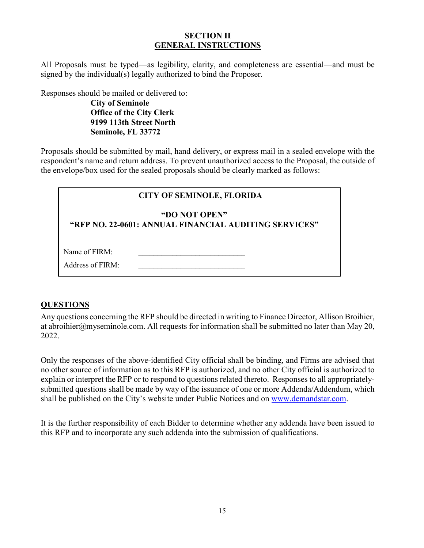## **SECTION II GENERAL INSTRUCTIONS**

All Proposals must be typed—as legibility, clarity, and completeness are essential—and must be signed by the individual(s) legally authorized to bind the Proposer.

Responses should be mailed or delivered to:

**City of Seminole 9199 113th Street North Office of the City Clerk Seminole, FL 33772** 

Proposals should be submitted by mail, hand delivery, or express mail in a sealed envelope with the respondent's name and return address. To prevent unauthorized access to the Proposal, the outside of the envelope/box used for the sealed proposals should be clearly marked as follows:

# **CITY OF SEMINOLE, FLORIDA**

#### **"DO NOT OPEN"**

**"RFP NO. 22-0601: ANNUAL FINANCIAL AUDITING SERVICES"** 

| Name of FIRM: |  |
|---------------|--|
|               |  |

| Address of FIRM: |  |
|------------------|--|
|                  |  |

# **QUESTIONS**

2022. Any questions concerning the RFP should be directed in writing to Finance Director, Allison Broihier, at abroihier@myseminole.com. All requests for information shall be submitted no later than May 20,

 explain or interpret the RFP or to respond to questions related thereto. Responses to all appropriately-Only the responses of the above-identified City official shall be binding, and Firms are advised that no other source of information as to this RFP is authorized, and no other City official is authorized to submitted questions shall be made by way of the issuance of one or more Addenda/Addendum, which shall be published on the City's website under Public Notices and on [www.demandstar.com.](http://www.demandstar.com/)

It is the further responsibility of each Bidder to determine whether any addenda have been issued to this RFP and to incorporate any such addenda into the submission of qualifications.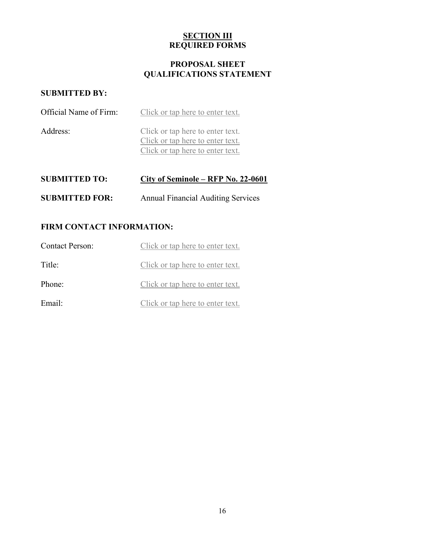# **SECTION III REQUIRED FORMS**

# **PROPOSAL SHEET QUALIFICATIONS STATEMENT**

# **SUBMITTED BY:**

| Official Name of Firm: | Click or tap here to enter text.                                                                         |
|------------------------|----------------------------------------------------------------------------------------------------------|
| Address:               | Click or tap here to enter text.<br>Click or tap here to enter text.<br>Click or tap here to enter text. |

| <b>SUBMITTED TO:</b>  | City of Seminole – RFP No. 22-0601        |
|-----------------------|-------------------------------------------|
| <b>SUBMITTED FOR:</b> | <b>Annual Financial Auditing Services</b> |

# **FIRM CONTACT INFORMATION:**

| <b>Contact Person:</b> | Click or tap here to enter text. |
|------------------------|----------------------------------|
| Title:                 | Click or tap here to enter text. |
| Phone:                 | Click or tap here to enter text. |
| Email:                 | Click or tap here to enter text. |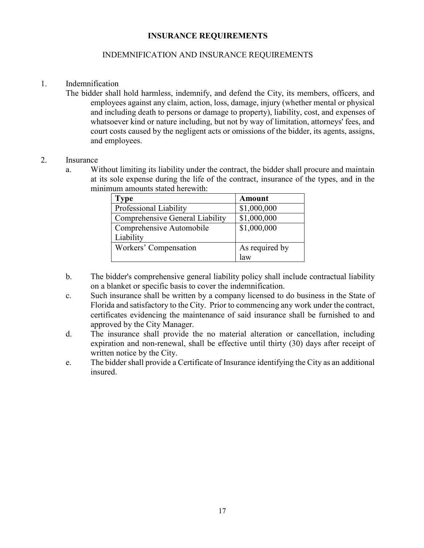#### **INSURANCE REQUIREMENTS**

## INDEMNIFICATION AND INSURANCE REQUIREMENTS

#### 1. Indemnification

 whatsoever kind or nature including, but not by way of limitation, attorneys' fees, and The bidder shall hold harmless, indemnify, and defend the City, its members, officers, and employees against any claim, action, loss, damage, injury (whether mental or physical and including death to persons or damage to property), liability, cost, and expenses of court costs caused by the negligent acts or omissions of the bidder, its agents, assigns, and employees.

#### 2. Insurance

a. Without limiting its liability under the contract, the bidder shall procure and maintain at its sole expense during the life of the contract, insurance of the types, and in the minimum amounts stated herewith:

| Type                            | Amount         |
|---------------------------------|----------------|
| Professional Liability          | \$1,000,000    |
| Comprehensive General Liability | \$1,000,000    |
| Comprehensive Automobile        | \$1,000,000    |
| Liability                       |                |
| Workers' Compensation           | As required by |
|                                 | law            |

- b. The bidder's comprehensive general liability policy shall include contractual liability on a blanket or specific basis to cover the indemnification.
- c. Such insurance shall be written by a company licensed to do business in the State of Florida and satisfactory to the City. Prior to commencing any work under the contract, certificates evidencing the maintenance of said insurance shall be furnished to and approved by the City Manager.
- d. The insurance shall provide the no material alteration or cancellation, including expiration and non-renewal, shall be effective until thirty (30) days after receipt of written notice by the City.
- e. The bidder shall provide a Certificate of Insurance identifying the City as an additional insured.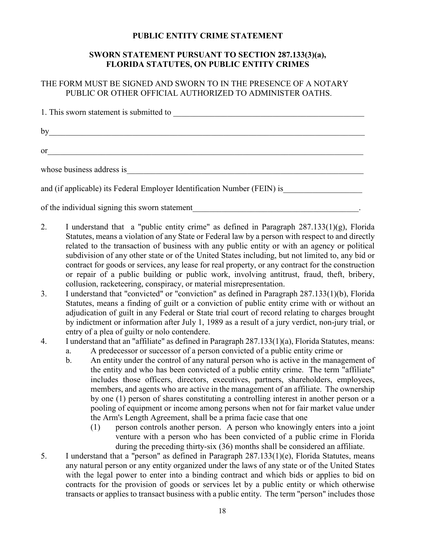#### **PUBLIC ENTITY CRIME STATEMENT**

## **SWORN STATEMENT PURSUANT TO SECTION 287.133(3)(a), FLORIDA STATUTES, ON PUBLIC ENTITY CRIMES**

## THE FORM MUST BE SIGNED AND SWORN TO IN THE PRESENCE OF A NOTARY PUBLIC OR OTHER OFFICIAL AUTHORIZED TO ADMINISTER OATHS.

| by $\overline{\phantom{a}}$                                                                                                                                                                                                          |
|--------------------------------------------------------------------------------------------------------------------------------------------------------------------------------------------------------------------------------------|
| or $\qquad \qquad$                                                                                                                                                                                                                   |
| whose business address is <b>and a set of the set of the set of the set of the set of the set of the set of the set of the set of the set of the set of the set of the set of the set of the set of the set of the set of the se</b> |
| and (if applicable) its Federal Employer Identification Number (FEIN) is                                                                                                                                                             |
| of the individual signing this sworn statement                                                                                                                                                                                       |

2. I understand that a "public entity crime" as defined in Paragraph 287.133(1)(g), Florida Statutes, means a violation of any State or Federal law by a person with respect to and directly related to the transaction of business with any public entity or with an agency or political subdivision of any other state or of the United States including, but not limited to, any bid or contract for goods or services, any lease for real property, or any contract for the construction or repair of a public building or public work, involving antitrust, fraud, theft, bribery, collusion, racketeering, conspiracy, or material misrepresentation.

- 3. I understand that "convicted" or "conviction" as defined in Paragraph 287.133(1)(b), Florida Statutes, means a finding of guilt or a conviction of public entity crime with or without an adjudication of guilt in any Federal or State trial court of record relating to charges brought by indictment or information after July 1, 1989 as a result of a jury verdict, non-jury trial, or entry of a plea of guilty or nolo contendere.
- a. A predecessor or successor of a person convicted of a public entity crime or 4. I understand that an "affiliate" as defined in Paragraph 287.133(1)(a), Florida Statutes, means:
	- by one (1) person of shares constituting a controlling interest in another person or a b. An entity under the control of any natural person who is active in the management of the entity and who has been convicted of a public entity crime. The term "affiliate" includes those officers, directors, executives, partners, shareholders, employees, members, and agents who are active in the management of an affiliate. The ownership pooling of equipment or income among persons when not for fair market value under the Arm's Length Agreement, shall be a prima facie case that one
		- (1) person controls another person. A person who knowingly enters into a joint venture with a person who has been convicted of a public crime in Florida during the preceding thirty-six (36) months shall be considered an affiliate.
- contracts for the provision of goods or services let by a public entity or which otherwise 5. I understand that a "person" as defined in Paragraph 287.133(1)(e), Florida Statutes, means any natural person or any entity organized under the laws of any state or of the United States with the legal power to enter into a binding contract and which bids or applies to bid on transacts or applies to transact business with a public entity. The term "person" includes those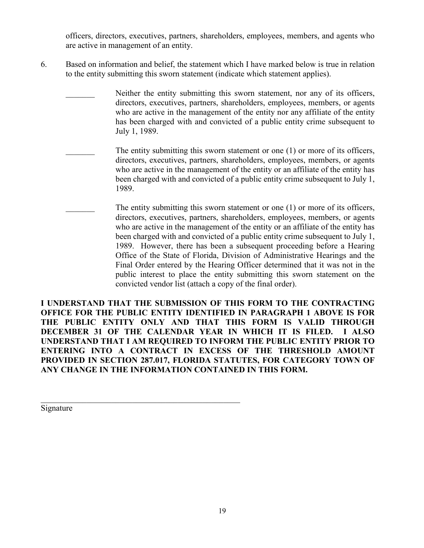officers, directors, executives, partners, shareholders, employees, members, and agents who are active in management of an entity.

- 6. Based on information and belief, the statement which I have marked below is true in relation to the entity submitting this sworn statement (indicate which statement applies).
	- Neither the entity submitting this sworn statement, nor any of its officers, directors, executives, partners, shareholders, employees, members, or agents who are active in the management of the entity nor any affiliate of the entity has been charged with and convicted of a public entity crime subsequent to July 1, 1989.
		- who are active in the management of the entity or an affiliate of the entity has The entity submitting this sworn statement or one  $(1)$  or more of its officers, directors, executives, partners, shareholders, employees, members, or agents been charged with and convicted of a public entity crime subsequent to July 1, 1989.
			- who are active in the management of the entity or an affiliate of the entity has Final Order entered by the Hearing Officer determined that it was not in the The entity submitting this sworn statement or one  $(1)$  or more of its officers, directors, executives, partners, shareholders, employees, members, or agents been charged with and convicted of a public entity crime subsequent to July 1, 1989. However, there has been a subsequent proceeding before a Hearing Office of the State of Florida, Division of Administrative Hearings and the public interest to place the entity submitting this sworn statement on the convicted vendor list (attach a copy of the final order).

 **I UNDERSTAND THAT THE SUBMISSION OF THIS FORM TO THE CONTRACTING OFFICE FOR THE PUBLIC ENTITY IDENTIFIED IN PARAGRAPH 1 ABOVE IS FOR THE PUBLIC ENTITY ONLY AND THAT THIS FORM IS VALID THROUGH DECEMBER 31 OF THE CALENDAR YEAR IN WHICH IT IS FILED. I ALSO UNDERSTAND THAT I AM REQUIRED TO INFORM THE PUBLIC ENTITY PRIOR TO ENTERING INTO A CONTRACT IN EXCESS OF THE THRESHOLD AMOUNT PROVIDED IN SECTION 287.017, FLORIDA STATUTES, FOR CATEGORY TOWN OF ANY CHANGE IN THE INFORMATION CONTAINED IN THIS FORM.** 

 $\mathcal{L}_\text{max}$  and  $\mathcal{L}_\text{max}$  and  $\mathcal{L}_\text{max}$  and  $\mathcal{L}_\text{max}$  and  $\mathcal{L}_\text{max}$ 

Signature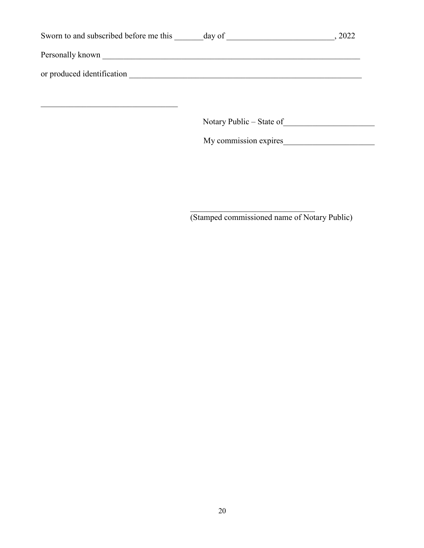| Sworn to and subscribed before me this ______ day of ___________________________ |                          | , 2022 |
|----------------------------------------------------------------------------------|--------------------------|--------|
|                                                                                  |                          |        |
|                                                                                  |                          |        |
|                                                                                  |                          |        |
|                                                                                  | Notary Public – State of |        |
|                                                                                  | My commission expires    |        |
|                                                                                  |                          |        |
|                                                                                  |                          |        |
|                                                                                  |                          |        |
|                                                                                  |                          |        |

(Stamped commissioned name of Notary Public)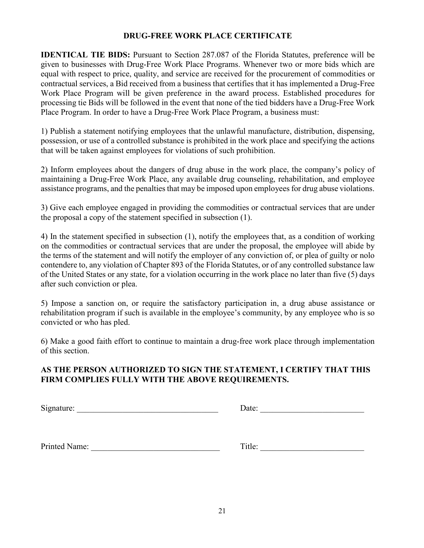#### **DRUG-FREE WORK PLACE CERTIFICATE**

**IDENTICAL TIE BIDS:** Pursuant to Section 287.087 of the Florida Statutes, preference will be given to businesses with Drug-Free Work Place Programs. Whenever two or more bids which are equal with respect to price, quality, and service are received for the procurement of commodities or contractual services, a Bid received from a business that certifies that it has implemented a Drug-Free Work Place Program will be given preference in the award process. Established procedures for processing tie Bids will be followed in the event that none of the tied bidders have a Drug-Free Work Place Program. In order to have a Drug-Free Work Place Program, a business must:

1) Publish a statement notifying employees that the unlawful manufacture, distribution, dispensing, possession, or use of a controlled substance is prohibited in the work place and specifying the actions that will be taken against employees for violations of such prohibition.

 2) Inform employees about the dangers of drug abuse in the work place, the company's policy of maintaining a Drug-Free Work Place, any available drug counseling, rehabilitation, and employee assistance programs, and the penalties that may be imposed upon employees for drug abuse violations.

3) Give each employee engaged in providing the commodities or contractual services that are under the proposal a copy of the statement specified in subsection (1).

 of the United States or any state, for a violation occurring in the work place no later than five (5) days 4) In the statement specified in subsection (1), notify the employees that, as a condition of working on the commodities or contractual services that are under the proposal, the employee will abide by the terms of the statement and will notify the employer of any conviction of, or plea of guilty or nolo contendere to, any violation of Chapter 893 of the Florida Statutes, or of any controlled substance law after such conviction or plea.

 5) Impose a sanction on, or require the satisfactory participation in, a drug abuse assistance or rehabilitation program if such is available in the employee's community, by any employee who is so convicted or who has pled.

 6) Make a good faith effort to continue to maintain a drug-free work place through implementation of this section.

## **AS THE PERSON AUTHORIZED TO SIGN THE STATEMENT, I CERTIFY THAT THIS FIRM COMPLIES FULLY WITH THE ABOVE REQUIREMENTS.**

 $Signature: \underline{\hspace{2cm}} \underline{\hspace{2cm}} \underline{\hspace{2cm}} \underline{\hspace{2cm}} \underline{\hspace{2cm}} \underline{\hspace{2cm}} \underline{\hspace{2cm}} \underline{\hspace{2cm}} \underline{\hspace{2cm}} \underline{\hspace{2cm}} \underline{\hspace{2cm}} \underline{\hspace{2cm}} \underline{\hspace{2cm}} \underline{\hspace{2cm}} \underline{\hspace{2cm}} \underline{\hspace{2cm}} \underline{\hspace{2cm}} \underline{\hspace{2cm}} \underline{\hspace{2cm}} \underline{\hspace{2cm}} \underline{\hspace{2cm}} \underline{\hspace{2cm}} \underline{\hspace{2cm}} \underline{\hspace{2cm}}$ 

| Printed Name:<br>m<br>. itle: |
|-------------------------------|
|-------------------------------|

| Title: |
|--------|
|--------|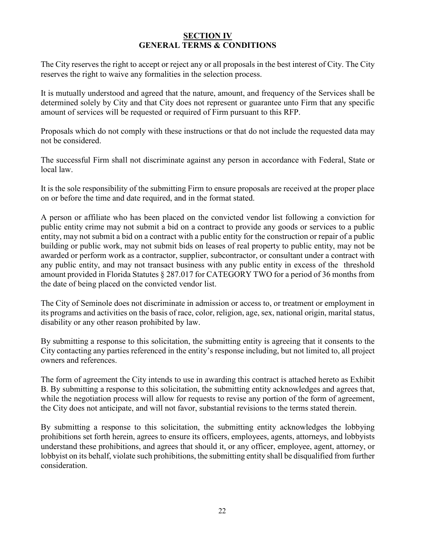#### **SECTION IV GENERAL TERMS & CONDITIONS**

 The City reserves the right to accept or reject any or all proposals in the best interest of City. The City reserves the right to waive any formalities in the selection process.

 determined solely by City and that City does not represent or guarantee unto Firm that any specific It is mutually understood and agreed that the nature, amount, and frequency of the Services shall be amount of services will be requested or required of Firm pursuant to this RFP.

Proposals which do not comply with these instructions or that do not include the requested data may not be considered.

The successful Firm shall not discriminate against any person in accordance with Federal, State or local law.

It is the sole responsibility of the submitting Firm to ensure proposals are received at the proper place on or before the time and date required, and in the format stated.

 public entity crime may not submit a bid on a contract to provide any goods or services to a public entity, may not submit a bid on a contract with a public entity for the construction or repair of a public amount provided in Florida Statutes § 287.017 for CATEGORY TWO for a period of 36 months from A person or affiliate who has been placed on the convicted vendor list following a conviction for building or public work, may not submit bids on leases of real property to public entity, may not be awarded or perform work as a contractor, supplier, subcontractor, or consultant under a contract with any public entity, and may not transact business with any public entity in excess of the threshold the date of being placed on the convicted vendor list.

The City of Seminole does not discriminate in admission or access to, or treatment or employment in its programs and activities on the basis of race, color, religion, age, sex, national origin, marital status, disability or any other reason prohibited by law.

By submitting a response to this solicitation, the submitting entity is agreeing that it consents to the City contacting any parties referenced in the entity's response including, but not limited to, all project owners and references.

 The form of agreement the City intends to use in awarding this contract is attached hereto as Exhibit B. By submitting a response to this solicitation, the submitting entity acknowledges and agrees that, while the negotiation process will allow for requests to revise any portion of the form of agreement, the City does not anticipate, and will not favor, substantial revisions to the terms stated therein.

By submitting a response to this solicitation, the submitting entity acknowledges the lobbying prohibitions set forth herein, agrees to ensure its officers, employees, agents, attorneys, and lobbyists understand these prohibitions, and agrees that should it, or any officer, employee, agent, attorney, or lobbyist on its behalf, violate such prohibitions, the submitting entity shall be disqualified from further consideration.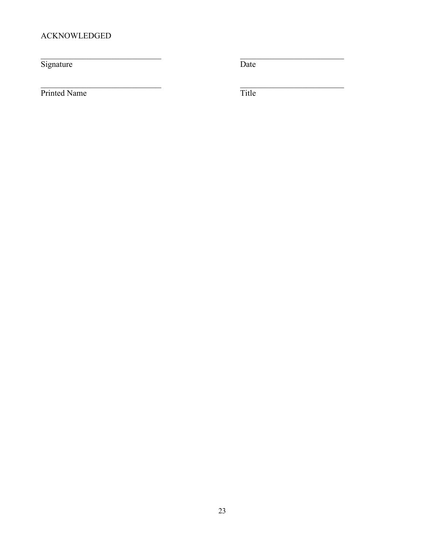# **ACKNOWLEDGED**

Signature

 $\overline{\text{Date}}$ 

Printed Name

Title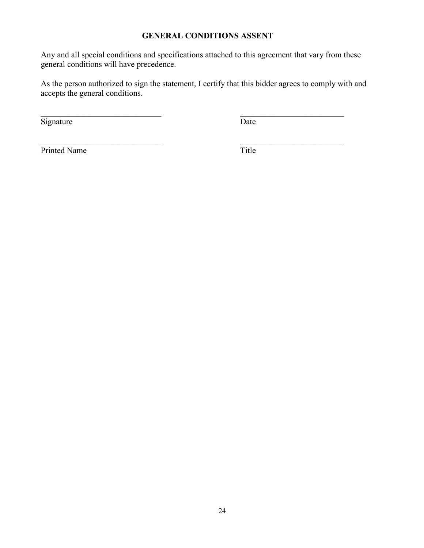## **GENERAL CONDITIONS ASSENT**

 Any and all special conditions and specifications attached to this agreement that vary from these general conditions will have precedence.

As the person authorized to sign the statement, I certify that this bidder agrees to comply with and accepts the general conditions.

 $\mathcal{L}_\text{max}$  , and the contract of the contract of the contract of the contract of the contract of the contract of the contract of the contract of the contract of the contract of the contract of the contract of the contr

Signature Date

Printed Name Title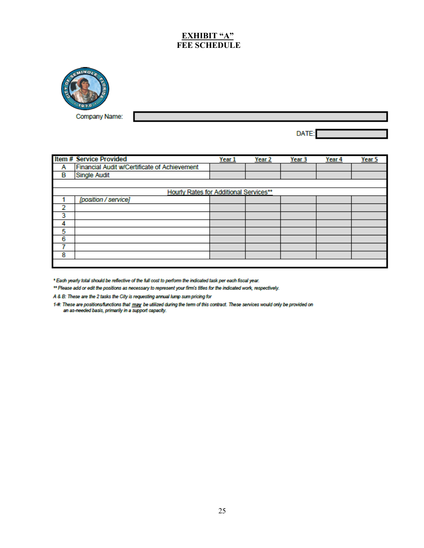# **EXHIBIT "A" FEE SCHEDULE**



Company Name:

DATE:

|                                               | <b>Item # Service Provided</b>               | Year <sub>1</sub> | Year <sub>2</sub> | Year 3 | <u>Year 4</u> | Year 5 |
|-----------------------------------------------|----------------------------------------------|-------------------|-------------------|--------|---------------|--------|
| А                                             | Financial Audit w/Certificate of Achievement |                   |                   |        |               |        |
| в                                             | <b>Single Audit</b>                          |                   |                   |        |               |        |
|                                               |                                              |                   |                   |        |               |        |
| <b>Hourly Rates for Additional Services**</b> |                                              |                   |                   |        |               |        |
|                                               | [position / service]                         |                   |                   |        |               |        |
| 2                                             |                                              |                   |                   |        |               |        |
| 3                                             |                                              |                   |                   |        |               |        |
| 4                                             |                                              |                   |                   |        |               |        |
| 5                                             |                                              |                   |                   |        |               |        |
| 6                                             |                                              |                   |                   |        |               |        |
|                                               |                                              |                   |                   |        |               |        |
| 8                                             |                                              |                   |                   |        |               |        |
|                                               |                                              |                   |                   |        |               |        |

\* Each yearly total should be reflective of the full cost to perform the indicated task per each fiscal year.

<sup>\*</sup> Each yearly total should be reflective of the full cost to perform the indicated task per each fiscal year.<br>\*\* Please add or edit the positions as necessary to represent your firm's titles for the indicated work, respe \*\* Please add or edit the positions as necessary to represent your firm's titles for th<br>A & B: These are the 2 tasks the City is requesting annual lump sum pricing for

1-test-est-er-arien are-penaltie of network, to represent you mind area on the material man, respectively.<br>A & B: These are the 2 tasks the City is requesting annual lump sum pricing for<br>1.#: The se are position functions ...<br>These are positions/functions that <u>may</u> be utilized d<br>an as-needed basis, primarily in a support capacity.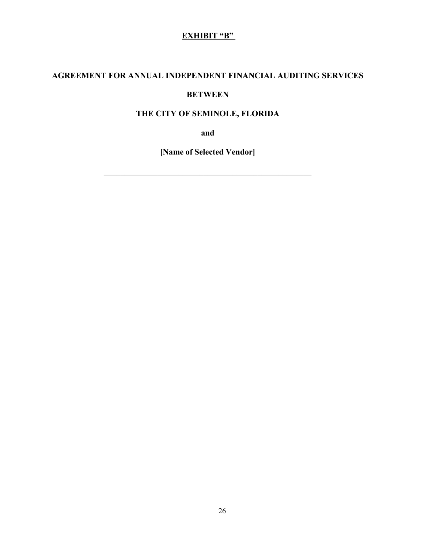# **EXHIBIT** "B"

# **EXHIBIT THE AGREEMENT FOR ANNUAL INDEPENDENT FINANCIAL AUDITING SERVICES**

# **BETWEEN**

## **THE CITY OF SEMINOLE, FLORIDA**

**and** 

**[Name of Selected Vendor]** 

\_\_\_\_\_\_\_\_\_\_\_\_\_\_\_\_\_\_\_\_\_\_\_\_\_\_\_\_\_\_\_\_\_\_\_\_\_\_\_\_\_\_\_\_\_\_\_\_\_\_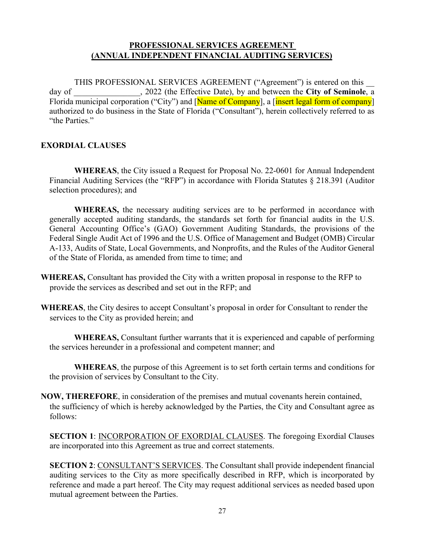## **PROFESSIONAL SERVICES AGREEMENT (ANNUAL INDEPENDENT FINANCIAL AUDITING SERVICES)**

 day of \_\_\_\_\_\_\_\_\_\_\_\_\_\_\_\_, 2022 (the Effective Date), by and between the **City of Seminole**, a THIS PROFESSIONAL SERVICES AGREEMENT ("Agreement") is entered on this Florida municipal corporation ("City") and [Name of Company], a [insert legal form of company] authorized to do business in the State of Florida ("Consultant"), herein collectively referred to as "the Parties."

#### **EXORDIAL CLAUSES**

 **WHEREAS**, the City issued a Request for Proposal No. 22-0601 for Annual Independent selection procedures); and Financial Auditing Services (the "RFP") in accordance with Florida Statutes § 218.391 (Auditor

**WHEREAS,** the necessary auditing services are to be performed in accordance with generally accepted auditing standards, the standards set forth for financial audits in the U.S. General Accounting Office's (GAO) Government Auditing Standards, the provisions of the Federal Single Audit Act of 1996 and the U.S. Office of Management and Budget (OMB) Circular A-133, Audits of State, Local Governments, and Nonprofits, and the Rules of the Auditor General of the State of Florida, as amended from time to time; and

- **WHEREAS,** Consultant has provided the City with a written proposal in response to the RFP to provide the services as described and set out in the RFP; and
- **WHEREAS**, the City desires to accept Consultant's proposal in order for Consultant to render the services to the City as provided herein; and

 **WHEREAS,** Consultant further warrants that it is experienced and capable of performing the services hereunder in a professional and competent manner; and

**WHEREAS**, the purpose of this Agreement is to set forth certain terms and conditions for the provision of services by Consultant to the City.

**NOW, THEREFORE**, in consideration of the premises and mutual covenants herein contained, the sufficiency of which is hereby acknowledged by the Parties, the City and Consultant agree as follows:

 are incorporated into this Agreement as true and correct statements. **SECTION 1**: INCORPORATION OF EXORDIAL CLAUSES. The foregoing Exordial Clauses

**SECTION 2**: CONSULTANT'S SERVICES. The Consultant shall provide independent financial auditing services to the City as more specifically described in RFP, which is incorporated by reference and made a part hereof. The City may request additional services as needed based upon mutual agreement between the Parties.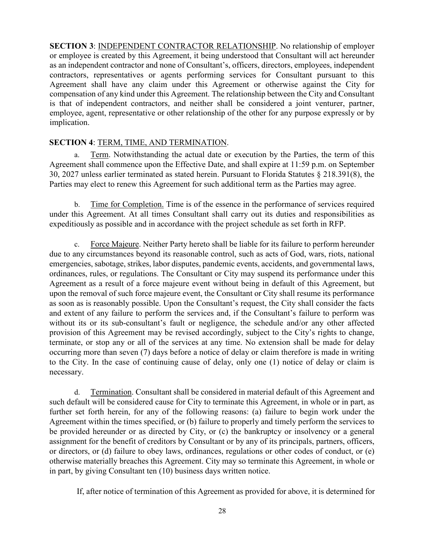**SECTION 3**: INDEPENDENT CONTRACTOR RELATIONSHIP. No relationship of employer or employee is created by this Agreement, it being understood that Consultant will act hereunder as an independent contractor and none of Consultant's, officers, directors, employees, independent contractors, representatives or agents performing services for Consultant pursuant to this Agreement shall have any claim under this Agreement or otherwise against the City for compensation of any kind under this Agreement. The relationship between the City and Consultant is that of independent contractors, and neither shall be considered a joint venturer, partner, employee, agent, representative or other relationship of the other for any purpose expressly or by implication.

#### **SECTION 4**: TERM, TIME, AND TERMINATION.

Term. Notwithstanding the actual date or execution by the Parties, the term of this Agreement shall commence upon the Effective Date, and shall expire at 11:59 p.m. on September 30, 2027 unless earlier terminated as stated herein. Pursuant to Florida Statutes § 218.391(8), the Parties may elect to renew this Agreement for such additional term as the Parties may agree.

b. Time for Completion. Time is of the essence in the performance of services required under this Agreement. At all times Consultant shall carry out its duties and responsibilities as expeditiously as possible and in accordance with the project schedule as set forth in RFP.

c. Force Majeure. Neither Party hereto shall be liable for its failure to perform hereunder due to any circumstances beyond its reasonable control, such as acts of God, wars, riots, national emergencies, sabotage, strikes, labor disputes, pandemic events, accidents, and governmental laws, ordinances, rules, or regulations. The Consultant or City may suspend its performance under this Agreement as a result of a force majeure event without being in default of this Agreement, but upon the removal of such force majeure event, the Consultant or City shall resume its performance as soon as is reasonably possible. Upon the Consultant's request, the City shall consider the facts and extent of any failure to perform the services and, if the Consultant's failure to perform was without its or its sub-consultant's fault or negligence, the schedule and/or any other affected provision of this Agreement may be revised accordingly, subject to the City's rights to change, terminate, or stop any or all of the services at any time. No extension shall be made for delay occurring more than seven (7) days before a notice of delay or claim therefore is made in writing to the City. In the case of continuing cause of delay, only one (1) notice of delay or claim is necessary.

d. Termination. Consultant shall be considered in material default of this Agreement and such default will be considered cause for City to terminate this Agreement, in whole or in part, as further set forth herein, for any of the following reasons: (a) failure to begin work under the Agreement within the times specified, or (b) failure to properly and timely perform the services to be provided hereunder or as directed by City, or (c) the bankruptcy or insolvency or a general assignment for the benefit of creditors by Consultant or by any of its principals, partners, officers, or directors, or (d) failure to obey laws, ordinances, regulations or other codes of conduct, or (e) otherwise materially breaches this Agreement. City may so terminate this Agreement, in whole or in part, by giving Consultant ten (10) business days written notice.

If, after notice of termination of this Agreement as provided for above, it is determined for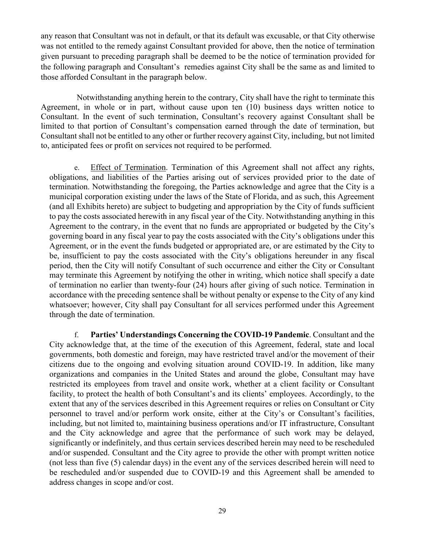any reason that Consultant was not in default, or that its default was excusable, or that City otherwise was not entitled to the remedy against Consultant provided for above, then the notice of termination given pursuant to preceding paragraph shall be deemed to be the notice of termination provided for the following paragraph and Consultant's remedies against City shall be the same as and limited to those afforded Consultant in the paragraph below.

Notwithstanding anything herein to the contrary, City shall have the right to terminate this Agreement, in whole or in part, without cause upon ten (10) business days written notice to Consultant. In the event of such termination, Consultant's recovery against Consultant shall be limited to that portion of Consultant's compensation earned through the date of termination, but Consultant shall not be entitled to any other or further recovery against City, including, but not limited to, anticipated fees or profit on services not required to be performed.

e. Effect of Termination. Termination of this Agreement shall not affect any rights, obligations, and liabilities of the Parties arising out of services provided prior to the date of termination. Notwithstanding the foregoing, the Parties acknowledge and agree that the City is a municipal corporation existing under the laws of the State of Florida, and as such, this Agreement (and all Exhibits hereto) are subject to budgeting and appropriation by the City of funds sufficient to pay the costs associated herewith in any fiscal year of the City. Notwithstanding anything in this Agreement to the contrary, in the event that no funds are appropriated or budgeted by the City's governing board in any fiscal year to pay the costs associated with the City's obligations under this Agreement, or in the event the funds budgeted or appropriated are, or are estimated by the City to be, insufficient to pay the costs associated with the City's obligations hereunder in any fiscal period, then the City will notify Consultant of such occurrence and either the City or Consultant may terminate this Agreement by notifying the other in writing, which notice shall specify a date of termination no earlier than twenty-four (24) hours after giving of such notice. Termination in accordance with the preceding sentence shall be without penalty or expense to the City of any kind whatsoever; however, City shall pay Consultant for all services performed under this Agreement through the date of termination.

f. **Parties' Understandings Concerning the COVID-19 Pandemic**. Consultant and the City acknowledge that, at the time of the execution of this Agreement, federal, state and local governments, both domestic and foreign, may have restricted travel and/or the movement of their citizens due to the ongoing and evolving situation around COVID-19. In addition, like many organizations and companies in the United States and around the globe, Consultant may have restricted its employees from travel and onsite work, whether at a client facility or Consultant facility, to protect the health of both Consultant's and its clients' employees. Accordingly, to the extent that any of the services described in this Agreement requires or relies on Consultant or City personnel to travel and/or perform work onsite, either at the City's or Consultant's facilities, including, but not limited to, maintaining business operations and/or IT infrastructure, Consultant and the City acknowledge and agree that the performance of such work may be delayed, significantly or indefinitely, and thus certain services described herein may need to be rescheduled and/or suspended. Consultant and the City agree to provide the other with prompt written notice (not less than five (5) calendar days) in the event any of the services described herein will need to be rescheduled and/or suspended due to COVID-19 and this Agreement shall be amended to address changes in scope and/or cost.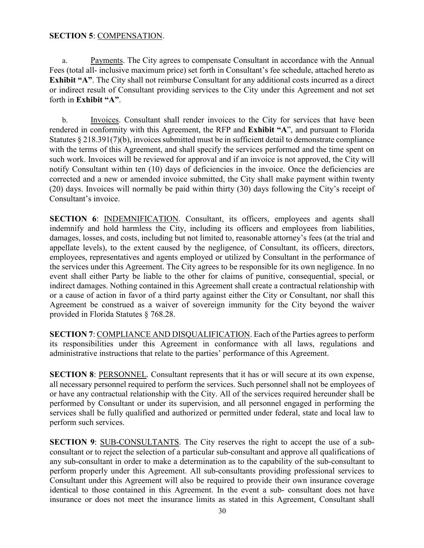#### **SECTION 5: COMPENSATION.**

a. Payments. The City agrees to compensate Consultant in accordance with the Annual Fees (total all- inclusive maximum price) set forth in Consultant's fee schedule, attached hereto as **Exhibit "A"**. The City shall not reimburse Consultant for any additional costs incurred as a direct or indirect result of Consultant providing services to the City under this Agreement and not set forth in **Exhibit "A"**.

b. Invoices. Consultant shall render invoices to the City for services that have been rendered in conformity with this Agreement, the RFP and **Exhibit "A**", and pursuant to Florida Statutes § 218.391(7)(b), invoices submitted must be in sufficient detail to demonstrate compliance with the terms of this Agreement, and shall specify the services performed and the time spent on such work. Invoices will be reviewed for approval and if an invoice is not approved, the City will notify Consultant within ten (10) days of deficiencies in the invoice. Once the deficiencies are corrected and a new or amended invoice submitted, the City shall make payment within twenty (20) days. Invoices will normally be paid within thirty (30) days following the City's receipt of Consultant's invoice.

**SECTION 6:** INDEMNIFICATION. Consultant, its officers, employees and agents shall indemnify and hold harmless the City, including its officers and employees from liabilities, damages, losses, and costs, including but not limited to, reasonable attorney's fees (at the trial and appellate levels), to the extent caused by the negligence, of Consultant, its officers, directors, employees, representatives and agents employed or utilized by Consultant in the performance of the services under this Agreement. The City agrees to be responsible for its own negligence. In no event shall either Party be liable to the other for claims of punitive, consequential, special, or indirect damages. Nothing contained in this Agreement shall create a contractual relationship with or a cause of action in favor of a third party against either the City or Consultant, nor shall this Agreement be construed as a waiver of sovereign immunity for the City beyond the waiver provided in Florida Statutes § 768.28.

**SECTION 7**: COMPLIANCE AND DISQUALIFICATION. Each of the Parties agrees to perform its responsibilities under this Agreement in conformance with all laws, regulations and administrative instructions that relate to the parties' performance of this Agreement.

**SECTION 8**: PERSONNEL. Consultant represents that it has or will secure at its own expense, all necessary personnel required to perform the services. Such personnel shall not be employees of or have any contractual relationship with the City. All of the services required hereunder shall be performed by Consultant or under its supervision, and all personnel engaged in performing the services shall be fully qualified and authorized or permitted under federal, state and local law to perform such services.

**SECTION 9:** SUB-CONSULTANTS. The City reserves the right to accept the use of a subconsultant or to reject the selection of a particular sub-consultant and approve all qualifications of any sub-consultant in order to make a determination as to the capability of the sub-consultant to perform properly under this Agreement. All sub-consultants providing professional services to Consultant under this Agreement will also be required to provide their own insurance coverage identical to those contained in this Agreement. In the event a sub- consultant does not have insurance or does not meet the insurance limits as stated in this Agreement, Consultant shall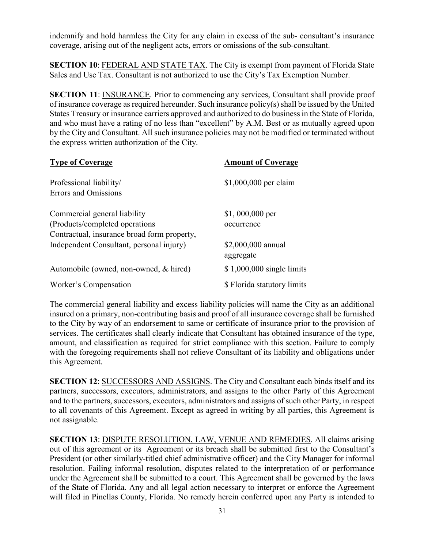indemnify and hold harmless the City for any claim in excess of the sub- consultant's insurance coverage, arising out of the negligent acts, errors or omissions of the sub-consultant.

**SECTION 10**: FEDERAL AND STATE TAX. The City is exempt from payment of Florida State Sales and Use Tax. Consultant is not authorized to use the City's Tax Exemption Number.

 and who must have a rating of no less than "excellent" by A.M. Best or as mutually agreed upon **SECTION 11:** INSURANCE. Prior to commencing any services, Consultant shall provide proof of insurance coverage as required hereunder. Such insurance policy(s) shall be issued by the United States Treasury or insurance carriers approved and authorized to do business in the State of Florida, by the City and Consultant. All such insurance policies may not be modified or terminated without the express written authorization of the City.

| <b>Type of Coverage</b>                     | <b>Amount of Coverage</b>   |  |
|---------------------------------------------|-----------------------------|--|
| Professional liability/                     | \$1,000,000 per claim       |  |
| <b>Errors and Omissions</b>                 |                             |  |
| Commercial general liability                | $$1,000,000$ per            |  |
| (Products/completed operations)             | occurrence                  |  |
| Contractual, insurance broad form property, |                             |  |
| Independent Consultant, personal injury)    | \$2,000,000 annual          |  |
|                                             | aggregate                   |  |
| Automobile (owned, non-owned, & hired)      | $$1,000,000$ single limits  |  |
| Worker's Compensation                       | \$ Florida statutory limits |  |

 services. The certificates shall clearly indicate that Consultant has obtained insurance of the type, The commercial general liability and excess liability policies will name the City as an additional insured on a primary, non-contributing basis and proof of all insurance coverage shall be furnished to the City by way of an endorsement to same or certificate of insurance prior to the provision of amount, and classification as required for strict compliance with this section. Failure to comply with the foregoing requirements shall not relieve Consultant of its liability and obligations under this Agreement.

 **SECTION 12**: SUCCESSORS AND ASSIGNS. The City and Consultant each binds itself and its partners, successors, executors, administrators, and assigns to the other Party of this Agreement and to the partners, successors, executors, administrators and assigns of such other Party, in respect to all covenants of this Agreement. Except as agreed in writing by all parties, this Agreement is not assignable.

 of the State of Florida. Any and all legal action necessary to interpret or enforce the Agreement **SECTION 13**: DISPUTE RESOLUTION, LAW, VENUE AND REMEDIES. All claims arising out of this agreement or its Agreement or its breach shall be submitted first to the Consultant's President (or other similarly-titled chief administrative officer) and the City Manager for informal resolution. Failing informal resolution, disputes related to the interpretation of or performance under the Agreement shall be submitted to a court. This Agreement shall be governed by the laws will filed in Pinellas County, Florida. No remedy herein conferred upon any Party is intended to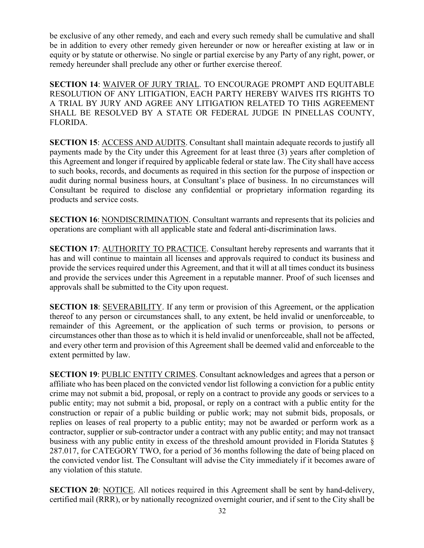be exclusive of any other remedy, and each and every such remedy shall be cumulative and shall be in addition to every other remedy given hereunder or now or hereafter existing at law or in equity or by statute or otherwise. No single or partial exercise by any Party of any right, power, or remedy hereunder shall preclude any other or further exercise thereof.

**SECTION 14**: WAIVER OF JURY TRIAL. TO ENCOURAGE PROMPT AND EQUITABLE RESOLUTION OF ANY LITIGATION, EACH PARTY HEREBY WAIVES ITS RIGHTS TO A TRIAL BY JURY AND AGREE ANY LITIGATION RELATED TO THIS AGREEMENT SHALL BE RESOLVED BY A STATE OR FEDERAL JUDGE IN PINELLAS COUNTY, FLORIDA.

**SECTION 15: ACCESS AND AUDITS. Consultant shall maintain adequate records to justify all** payments made by the City under this Agreement for at least three (3) years after completion of this Agreement and longer if required by applicable federal or state law. The City shall have access to such books, records, and documents as required in this section for the purpose of inspection or audit during normal business hours, at Consultant's place of business. In no circumstances will Consultant be required to disclose any confidential or proprietary information regarding its products and service costs.

**SECTION 16: NONDISCRIMINATION. Consultant warrants and represents that its policies and** operations are compliant with all applicable state and federal anti-discrimination laws.

**SECTION 17: AUTHORITY TO PRACTICE.** Consultant hereby represents and warrants that it has and will continue to maintain all licenses and approvals required to conduct its business and provide the services required under this Agreement, and that it will at all times conduct its business and provide the services under this Agreement in a reputable manner. Proof of such licenses and approvals shall be submitted to the City upon request.

**SECTION 18: SEVERABILITY.** If any term or provision of this Agreement, or the application thereof to any person or circumstances shall, to any extent, be held invalid or unenforceable, to remainder of this Agreement, or the application of such terms or provision, to persons or circumstances other than those as to which it is held invalid or unenforceable, shall not be affected, and every other term and provision of this Agreement shall be deemed valid and enforceable to the extent permitted by law.

 affiliate who has been placed on the convicted vendor list following a conviction for a public entity public entity; may not submit a bid, proposal, or reply on a contract with a public entity for the replies on leases of real property to a public entity; may not be awarded or perform work as a **SECTION 19: PUBLIC ENTITY CRIMES. Consultant acknowledges and agrees that a person or** crime may not submit a bid, proposal, or reply on a contract to provide any goods or services to a construction or repair of a public building or public work; may not submit bids, proposals, or contractor, supplier or sub-contractor under a contract with any public entity; and may not transact business with any public entity in excess of the threshold amount provided in Florida Statutes § 287.017, for CATEGORY TWO, for a period of 36 months following the date of being placed on the convicted vendor list. The Consultant will advise the City immediately if it becomes aware of any violation of this statute.

**SECTION 20:** NOTICE. All notices required in this Agreement shall be sent by hand-delivery, certified mail (RRR), or by nationally recognized overnight courier, and if sent to the City shall be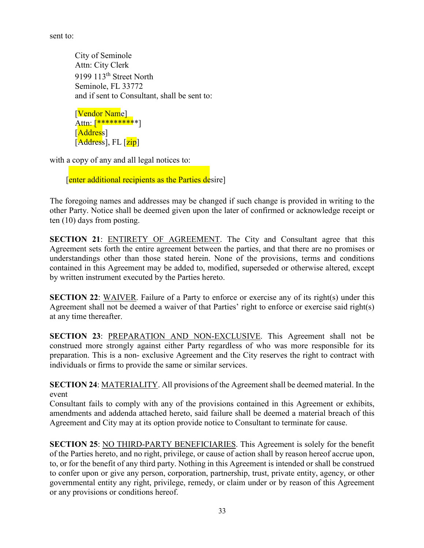sent to:

City of Seminole and if sent to Consultant, shall be sent to:<br>[<mark>Vendor Nam</mark>e] Attn: City Clerk 9199 113<sup>th</sup> Street North Seminole, FL 33772

Attn: [\*\*\*\*\*\*\*\*\*\*\*] [Address]  $\overline{[Address]},$  FL  $\overline{[zip]}$ 

with a copy of any and all legal notices to:

[enter additional recipients as the Parties desire]

 other Party. Notice shall be deemed given upon the later of confirmed or acknowledge receipt or The foregoing names and addresses may be changed if such change is provided in writing to the ten (10) days from posting.

**SECTION 21:** ENTIRETY OF AGREEMENT. The City and Consultant agree that this Agreement sets forth the entire agreement between the parties, and that there are no promises or understandings other than those stated herein. None of the provisions, terms and conditions contained in this Agreement may be added to, modified, superseded or otherwise altered, except by written instrument executed by the Parties hereto.

**SECTION 22:** WAIVER. Failure of a Party to enforce or exercise any of its right(s) under this Agreement shall not be deemed a waiver of that Parties' right to enforce or exercise said right(s) at any time thereafter.

**SECTION 23**: PREPARATION AND NON-EXCLUSIVE. This Agreement shall not be construed more strongly against either Party regardless of who was more responsible for its preparation. This is a non- exclusive Agreement and the City reserves the right to contract with individuals or firms to provide the same or similar services.

 **SECTION 24**: MATERIALITY. All provisions of the Agreement shall be deemed material. In the event

 Consultant fails to comply with any of the provisions contained in this Agreement or exhibits, Agreement and City may at its option provide notice to Consultant to terminate for cause. amendments and addenda attached hereto, said failure shall be deemed a material breach of this

 to confer upon or give any person, corporation, partnership, trust, private entity, agency, or other governmental entity any right, privilege, remedy, or claim under or by reason of this Agreement **SECTION 25:** NO THIRD-PARTY BENEFICIARIES. This Agreement is solely for the benefit of the Parties hereto, and no right, privilege, or cause of action shall by reason hereof accrue upon, to, or for the benefit of any third party. Nothing in this Agreement is intended or shall be construed or any provisions or conditions hereof.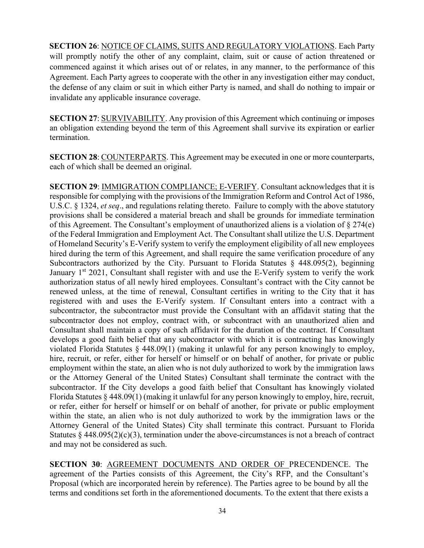**SECTION 26**: NOTICE OF CLAIMS, SUITS AND REGULATORY VIOLATIONS. Each Party will promptly notify the other of any complaint, claim, suit or cause of action threatened or commenced against it which arises out of or relates, in any manner, to the performance of this Agreement. Each Party agrees to cooperate with the other in any investigation either may conduct, the defense of any claim or suit in which either Party is named, and shall do nothing to impair or invalidate any applicable insurance coverage.

**SECTION 27**: SURVIVABILITY. Any provision of this Agreement which continuing or imposes an obligation extending beyond the term of this Agreement shall survive its expiration or earlier termination.

**SECTION 28**: COUNTERPARTS. This Agreement may be executed in one or more counterparts, each of which shall be deemed an original.

 of Homeland Security's E-Verify system to verify the employment eligibility of all new employees subcontractor. If the City develops a good faith belief that Consultant has knowingly violated **SECTION 29**: IMMIGRATION COMPLIANCE; E-VERIFY. Consultant acknowledges that it is responsible for complying with the provisions of the Immigration Reform and Control Act of 1986, U.S.C. § 1324, *et seq*., and regulations relating thereto. Failure to comply with the above statutory provisions shall be considered a material breach and shall be grounds for immediate termination of this Agreement. The Consultant's employment of unauthorized aliens is a violation of § 274(e) of the Federal Immigration and Employment Act. The Consultant shall utilize the U.S. Department hired during the term of this Agreement, and shall require the same verification procedure of any Subcontractors authorized by the City. Pursuant to Florida Statutes § 448.095(2), beginning January 1<sup>st</sup> 2021, Consultant shall register with and use the E-Verify system to verify the work authorization status of all newly hired employees. Consultant's contract with the City cannot be renewed unless, at the time of renewal, Consultant certifies in writing to the City that it has registered with and uses the E-Verify system. If Consultant enters into a contract with a subcontractor, the subcontractor must provide the Consultant with an affidavit stating that the subcontractor does not employ, contract with, or subcontract with an unauthorized alien and Consultant shall maintain a copy of such affidavit for the duration of the contract. If Consultant develops a good faith belief that any subcontractor with which it is contracting has knowingly violated Florida Statutes § 448.09(1) (making it unlawful for any person knowingly to employ, hire, recruit, or refer, either for herself or himself or on behalf of another, for private or public employment within the state, an alien who is not duly authorized to work by the immigration laws or the Attorney General of the United States) Consultant shall terminate the contract with the Florida Statutes § 448.09(1) (making it unlawful for any person knowingly to employ, hire, recruit, or refer, either for herself or himself or on behalf of another, for private or public employment within the state, an alien who is not duly authorized to work by the immigration laws or the Attorney General of the United States) City shall terminate this contract. Pursuant to Florida Statutes  $§$  448.095(2)(c)(3), termination under the above-circumstances is not a breach of contract and may not be considered as such.

 Proposal (which are incorporated herein by reference). The Parties agree to be bound by all the terms and conditions set forth in the aforementioned documents. To the extent that there exists a **SECTION 30**: AGREEMENT DOCUMENTS AND ORDER OF PRECENDENCE. The agreement of the Parties consists of this Agreement, the City's RFP, and the Consultant's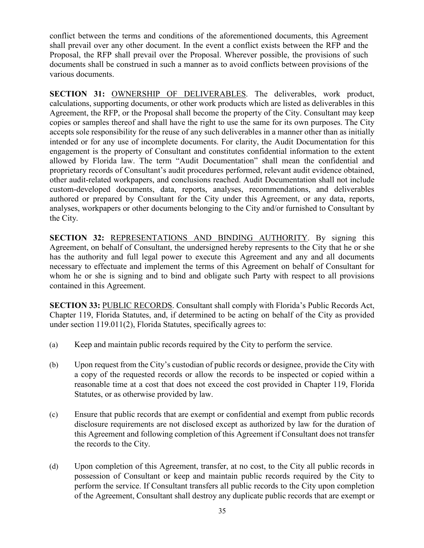conflict between the terms and conditions of the aforementioned documents, this Agreement shall prevail over any other document. In the event a conflict exists between the RFP and the Proposal, the RFP shall prevail over the Proposal. Wherever possible, the provisions of such documents shall be construed in such a manner as to avoid conflicts between provisions of the various documents.

 accepts sole responsibility for the reuse of any such deliverables in a manner other than as initially intended or for any use of incomplete documents. For clarity, the Audit Documentation for this **SECTION 31:** OWNERSHIP OF DELIVERABLES. The deliverables, work product, calculations, supporting documents, or other work products which are listed as deliverables in this Agreement, the RFP, or the Proposal shall become the property of the City. Consultant may keep copies or samples thereof and shall have the right to use the same for its own purposes. The City engagement is the property of Consultant and constitutes confidential information to the extent allowed by Florida law. The term "Audit Documentation" shall mean the confidential and proprietary records of Consultant's audit procedures performed, relevant audit evidence obtained, other audit-related workpapers, and conclusions reached. Audit Documentation shall not include custom-developed documents, data, reports, analyses, recommendations, and deliverables authored or prepared by Consultant for the City under this Agreement, or any data, reports, analyses, workpapers or other documents belonging to the City and/or furnished to Consultant by the City.

**SECTION 32:** REPRESENTATIONS AND BINDING AUTHORITY. By signing this Agreement, on behalf of Consultant, the undersigned hereby represents to the City that he or she has the authority and full legal power to execute this Agreement and any and all documents necessary to effectuate and implement the terms of this Agreement on behalf of Consultant for whom he or she is signing and to bind and obligate such Party with respect to all provisions contained in this Agreement.

 under section 119.011(2), Florida Statutes, specifically agrees to: **SECTION 33:** PUBLIC RECORDS. Consultant shall comply with Florida's Public Records Act, Chapter 119, Florida Statutes, and, if determined to be acting on behalf of the City as provided

- (a) Keep and maintain public records required by the City to perform the service.
- (b) Upon request from the City's custodian of public records or designee, provide the City with a copy of the requested records or allow the records to be inspected or copied within a reasonable time at a cost that does not exceed the cost provided in Chapter 119, Florida Statutes, or as otherwise provided by law.
- disclosure requirements are not disclosed except as authorized by law for the duration of (c) Ensure that public records that are exempt or confidential and exempt from public records this Agreement and following completion of this Agreement if Consultant does not transfer the records to the City.
- of the Agreement, Consultant shall destroy any duplicate public records that are exempt or (d) Upon completion of this Agreement, transfer, at no cost, to the City all public records in possession of Consultant or keep and maintain public records required by the City to perform the service. If Consultant transfers all public records to the City upon completion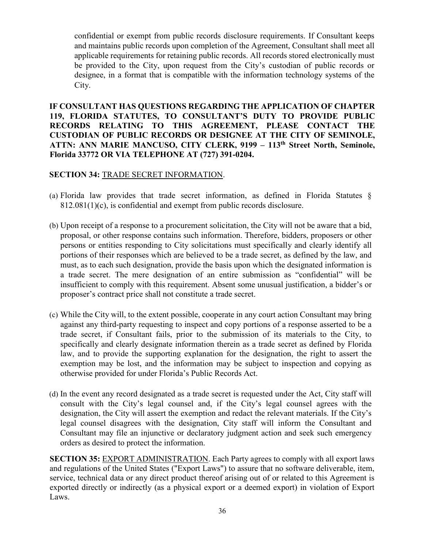and maintains public records upon completion of the Agreement, Consultant shall meet all confidential or exempt from public records disclosure requirements. If Consultant keeps applicable requirements for retaining public records. All records stored electronically must be provided to the City, upon request from the City's custodian of public records or designee, in a format that is compatible with the information technology systems of the City.

 **ATTN: ANN MARIE MANCUSO, CITY CLERK, 9199 – 113th Street North, Seminole, IF CONSULTANT HAS QUESTIONS REGARDING THE APPLICATION OF CHAPTER 119, FLORIDA STATUTES, TO CONSULTANT'S DUTY TO PROVIDE PUBLIC RECORDS RELATING TO THIS AGREEMENT, PLEASE CONTACT THE CUSTODIAN OF PUBLIC RECORDS OR DESIGNEE AT THE CITY OF SEMINOLE, Florida 33772 OR VIA TELEPHONE AT (727) 391-0204.** 

# **SECTION 34:** TRADE SECRET INFORMATION.

- (a) Florida law provides that trade secret information, as defined in Florida Statutes § 812.081(1)(c), is confidential and exempt from public records disclosure.
- (b) Upon receipt of a response to a procurement solicitation, the City will not be aware that a bid, persons or entities responding to City solicitations must specifically and clearly identify all proposal, or other response contains such information. Therefore, bidders, proposers or other portions of their responses which are believed to be a trade secret, as defined by the law, and must, as to each such designation, provide the basis upon which the designated information is a trade secret. The mere designation of an entire submission as "confidential" will be insufficient to comply with this requirement. Absent some unusual justification, a bidder's or proposer's contract price shall not constitute a trade secret.
- (c) While the City will, to the extent possible, cooperate in any court action Consultant may bring against any third-party requesting to inspect and copy portions of a response asserted to be a trade secret, if Consultant fails, prior to the submission of its materials to the City, to specifically and clearly designate information therein as a trade secret as defined by Florida law, and to provide the supporting explanation for the designation, the right to assert the exemption may be lost, and the information may be subject to inspection and copying as otherwise provided for under Florida's Public Records Act.
- designation, the City will assert the exemption and redact the relevant materials. If the City's (d) In the event any record designated as a trade secret is requested under the Act, City staff will consult with the City's legal counsel and, if the City's legal counsel agrees with the legal counsel disagrees with the designation, City staff will inform the Consultant and Consultant may file an injunctive or declaratory judgment action and seek such emergency orders as desired to protect the information.

**SECTION 35: EXPORT ADMINISTRATION.** Each Party agrees to comply with all export laws and regulations of the United States ("Export Laws") to assure that no software deliverable, item, service, technical data or any direct product thereof arising out of or related to this Agreement is exported directly or indirectly (as a physical export or a deemed export) in violation of Export Laws.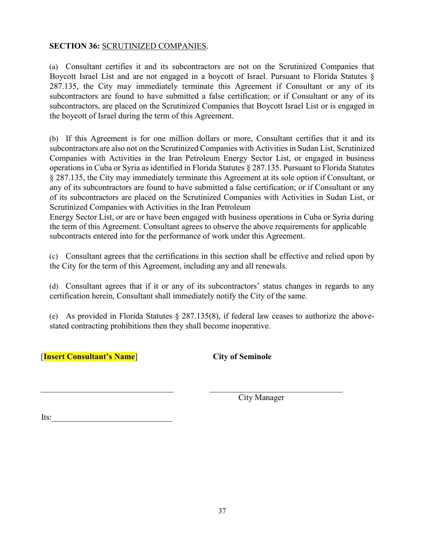## **SECTION 36:** SCRUTINIZED COMPANIES.

 Boycott Israel List and are not engaged in a boycott of Israel. Pursuant to Florida Statutes § subcontractors, are placed on the Scrutinized Companies that Boycott Israel List or is engaged in (a) Consultant certifies it and its subcontractors are not on the Scrutinized Companies that 287.135, the City may immediately terminate this Agreement if Consultant or any of its subcontractors are found to have submitted a false certification; or if Consultant or any of its the boycott of Israel during the term of this Agreement.

 any of its subcontractors are found to have submitted a false certification; or if Consultant or any (b) If this Agreement is for one million dollars or more, Consultant certifies that it and its subcontractors are also not on the Scrutinized Companies with Activities in Sudan List, Scrutinized Companies with Activities in the Iran Petroleum Energy Sector List, or engaged in business operations in Cuba or Syria as identified in Florida Statutes § 287.135. Pursuant to Florida Statutes § 287.135, the City may immediately terminate this Agreement at its sole option if Consultant, or of its subcontractors are placed on the Scrutinized Companies with Activities in Sudan List, or Scrutinized Companies with Activities in the Iran Petroleum

 Energy Sector List, or are or have been engaged with business operations in Cuba or Syria during the term of this Agreement. Consultant agrees to observe the above requirements for applicable subcontracts entered into for the performance of work under this Agreement.

(c) Consultant agrees that the certifications in this section shall be effective and relied upon by the City for the term of this Agreement, including any and all renewals.

(d) Consultant agrees that if it or any of its subcontractors' status changes in regards to any certification herein, Consultant shall immediately notify the City of the same.

 (e) As provided in Florida Statutes § 287.135(8), if federal law ceases to authorize the abovestated contracting prohibitions then they shall become inoperative.

[**Insert Consultant's Name**] **City of Seminole** 

Its:

City Manager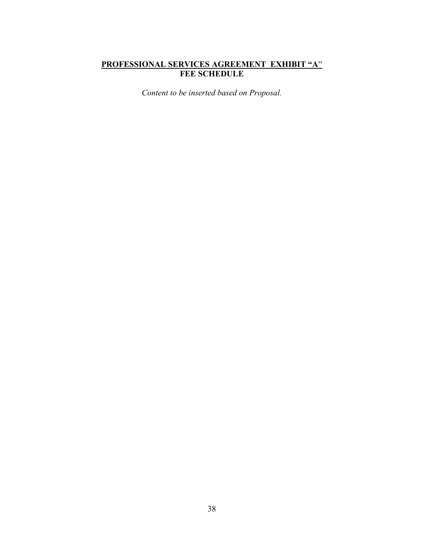# **PROFESSIONAL SERVICES AGREEMENT EXHIBIT "A" FEE SCHEDULE**

*Content to be inserted based on Proposal.*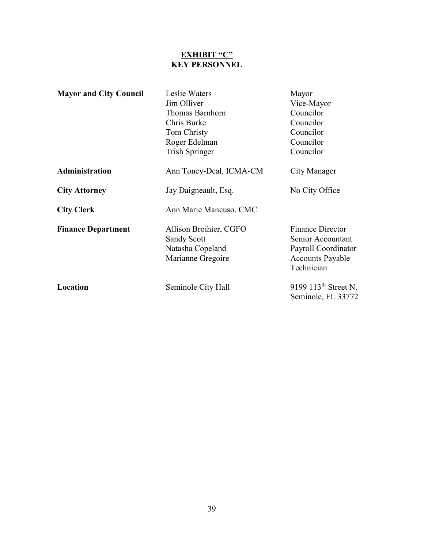# **EXHIBIT "C" KEY PERSONNEL**

| <b>Mayor and City Council</b> | Leslie Waters           | Mayor                                 |  |
|-------------------------------|-------------------------|---------------------------------------|--|
|                               | Jim Olliver             | Vice-Mayor                            |  |
|                               | Thomas Barnhorn         | Councilor                             |  |
|                               | Chris Burke             | Councilor                             |  |
|                               | Tom Christy             | Councilor                             |  |
|                               | Roger Edelman           | Councilor                             |  |
|                               | <b>Trish Springer</b>   | Councilor                             |  |
| Administration                | Ann Toney-Deal, ICMA-CM | City Manager                          |  |
| <b>City Attorney</b>          | Jay Daigneault, Esq.    | No City Office                        |  |
| <b>City Clerk</b>             | Ann Marie Mancuso, CMC  |                                       |  |
| <b>Finance Department</b>     | Allison Broihier, CGFO  | <b>Finance Director</b>               |  |
|                               | <b>Sandy Scott</b>      | Senior Accountant                     |  |
|                               | Natasha Copeland        | Payroll Coordinator                   |  |
|                               | Marianne Gregoire       | <b>Accounts Payable</b><br>Technician |  |
| Location                      | Seminole City Hall      | 9199 113 <sup>th</sup> Street N.      |  |
|                               |                         | Seminole, FL 33772                    |  |